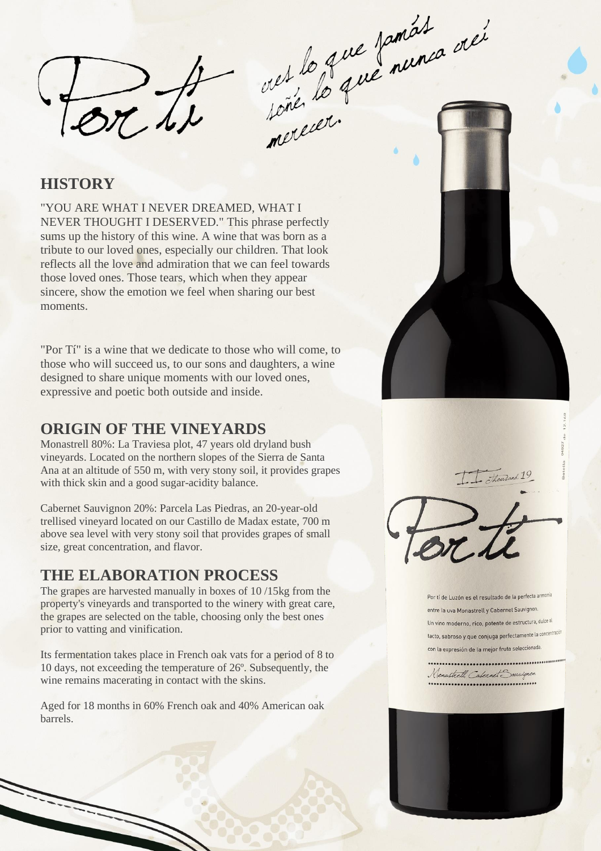orth

out le 2me promiet avec

### **HISTORY**

"YOU ARE WHAT I NEVER DREAMED, WHAT I NEVER THOUGHT I DESERVED." This phrase perfectly sums up the history of this wine. A wine that was born as a tribute to our loved ones, especially our children. That look reflects all the love and admiration that we can feel towards those loved ones. Those tears, which when they appear sincere, show the emotion we feel when sharing our best moments.

"Por Tí" is a wine that we dedicate to those who will come, to those who will succeed us, to our sons and daughters, a wine designed to share unique moments with our loved ones, expressive and poetic both outside and inside.

### **ORIGIN OF THE VINEYARDS**

Monastrell 80%: La Traviesa plot, 47 years old dryland bush vineyards. Located on the northern slopes of the Sierra de Santa Ana at an altitude of 550 m, with very stony soil, it provides grapes with thick skin and a good sugar-acidity balance.

Cabernet Sauvignon 20%: Parcela Las Piedras, an 20-year-old trellised vineyard located on our Castillo de Madax estate, 700 m above sea level with very stony soil that provides grapes of small size, great concentration, and flavor.

## **THE ELABORATION PROCESS**

The grapes are harvested manually in boxes of 10 /15kg from the property's vineyards and transported to the winery with great care, the grapes are selected on the table, choosing only the best ones prior to vatting and vinification.

Its fermentation takes place in French oak vats for a period of 8 to 10 days, not exceeding the temperature of 26º. Subsequently, the wine remains macerating in contact with the skins.

Aged for 18 months in 60% French oak and 40% American oak barrels.





Por tí de Luzón es el resultado de la perfecta armonia entre la uva Monastrell y Cabernet Sauvignon. Un vino moderno, rico, potente de estructura, dulce al tacto, sabroso y que conjuga perfectamente la concentración con la expresión de la mejor fruta seleccionada

Monastrell, Cabernet Sauvignon